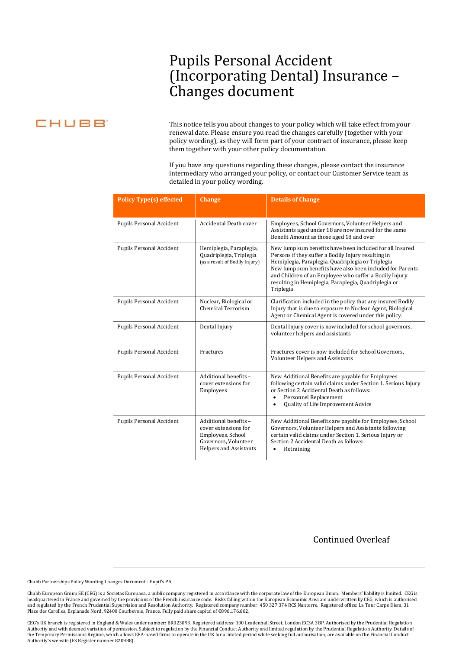## Pupils Personal Accident (Incorporating Dental) Insurance – Changes document

## CHUBB

This notice tells you about changes to your policy which will take effect from your renewal date. Please ensure you read the changes carefully (together with your policy wording), as they will form part of your contract of insurance, please keep them together with your other policy documentation.

If you have any questions regarding these changes, please contact the insurance intermediary who arranged your policy, or contact our Customer Service team as detailed in your policy wording.

| <b>Policy Type(s) effected</b>  | <b>Change</b>                                                                                                        | <b>Details of Change</b>                                                                                                                                                                                                                                                                                                                                         |
|---------------------------------|----------------------------------------------------------------------------------------------------------------------|------------------------------------------------------------------------------------------------------------------------------------------------------------------------------------------------------------------------------------------------------------------------------------------------------------------------------------------------------------------|
| Pupils Personal Accident        | <b>Accidental Death cover</b>                                                                                        | Employees, School Governors, Volunteer Helpers and<br>Assistants aged under 18 are now insured for the same<br>Benefit Amount as those aged 18 and over                                                                                                                                                                                                          |
| <b>Pupils Personal Accident</b> | Hemiplegia, Paraplegia,<br>Quadriplegia, Triplegia<br>(as a result of Bodily Injury)                                 | New lump sum benefits have been included for all Insured<br>Persons if they suffer a Bodily Injury resulting in<br>Hemiplegia, Paraplegia, Quadriplegia or Triplegia<br>New lump sum benefits have also been included for Parents<br>and Children of an Employee who suffer a Bodily Injury<br>resulting in Hemiplegia, Paraplegia, Quadriplegia or<br>Triplegia |
| <b>Pupils Personal Accident</b> | Nuclear, Biological or<br><b>Chemical Terrorism</b>                                                                  | Clarification included in the policy that any insured Bodily<br>Injury that is due to exposure to Nuclear Agent, Biological<br>Agent or Chemical Agent is covered under this policy.                                                                                                                                                                             |
| <b>Pupils Personal Accident</b> | Dental Injury                                                                                                        | Dental Injury cover is now included for school governors,<br>volunteer helpers and assistants                                                                                                                                                                                                                                                                    |
| <b>Pupils Personal Accident</b> | Fractures                                                                                                            | Fractures cover is now included for School Governors,<br>Volunteer Helpers and Assistants                                                                                                                                                                                                                                                                        |
| <b>Pupils Personal Accident</b> | Additional benefits -<br>cover extensions for<br>Employees                                                           | New Additional Benefits are payable for Employees<br>following certain valid claims under Section 1. Serious Injury<br>or Section 2 Accidental Death as follows:<br>Personnel Replacement<br>$\bullet$<br>Quality of Life Improvement Advice<br>$\bullet$                                                                                                        |
| Pupils Personal Accident        | Additional benefits -<br>cover extensions for<br>Employees, School<br>Governors, Volunteer<br>Helpers and Assistants | New Additional Benefits are payable for Employees, School<br>Governors, Volunteer Helpers and Assistants following<br>certain valid claims under Section 1. Serious Injury or<br>Section 2 Accidental Death as follows:<br>Retraining                                                                                                                            |

## Continued Overleaf

Chubb Partnerships Policy Wording Changes Document - Pupil's PA

Chubb European Group SE (CEG) is a Societas Europaea, a public company registered in accordance with the corporate law of the European Union. Members' liability is limited. CEG is headquartered in France and governed by the provisions of the French insurance code. Risks falling within the European Economic Area are underwritten by CEG, which is authorised<br>and regulated by the French Prudential Supe Place des Corolles, Esplanade Nord, 92400 Courbevoie, France. Fully paid share capital of €896,176,662.

CEG's UK branch is registered in England & Wales under number: BR023093. Registered address: 100 Leadenhall Street, London EC3A 3BP. Authorised by the Prudential Regulation Authority and with deemed variation of permission. Subject to regulation by the Financial Conduct Authority and limited regulation by the Prudential Regulation Authority. Details of<br>the Temporary Permissions Regime, which Authority's website (FS Register number 820988).